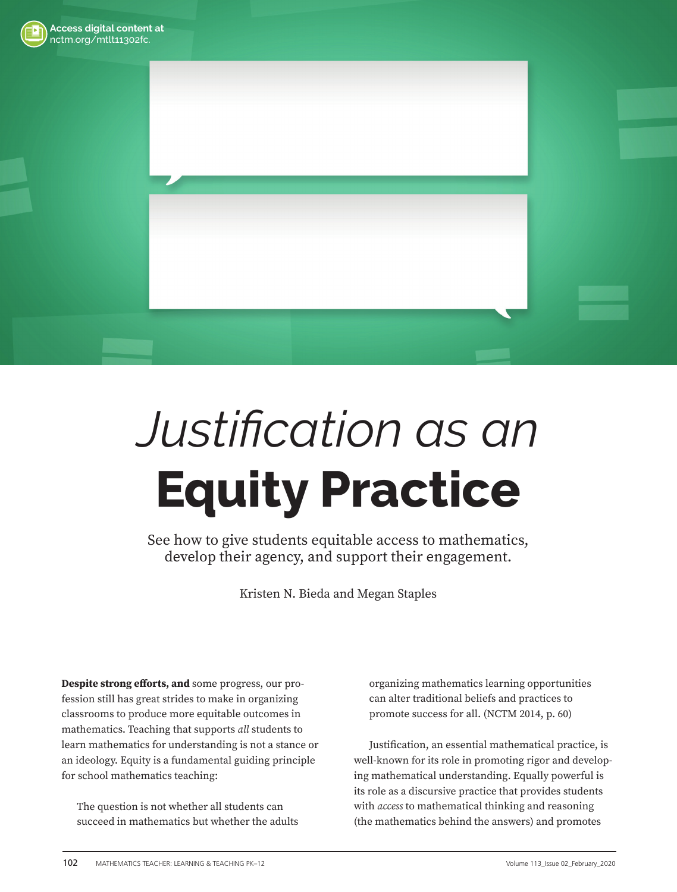



# *Justification as an*  **Equity Practice**

See how to give students equitable access to mathematics, develop their agency, and support their engagement.

Kristen N. Bieda and Megan Staples

**Despite strong efforts, and** some progress, our profession still has great strides to make in organizing classrooms to produce more equitable outcomes in mathematics. Teaching that supports *all* students to learn mathematics for understanding is not a stance or an ideology. Equity is a fundamental guiding principle for school mathematics teaching:

The question is not whether all students can succeed in mathematics but whether the adults organizing mathematics learning opportunities can alter traditional beliefs and practices to promote success for all. (NCTM 2014, p. 60)

Justification, an essential mathematical practice, is well-known for its role in promoting rigor and developing mathematical understanding. Equally powerful is its role as a discursive practice that provides students with *access* to mathematical thinking and reasoning (the mathematics behind the answers) and promotes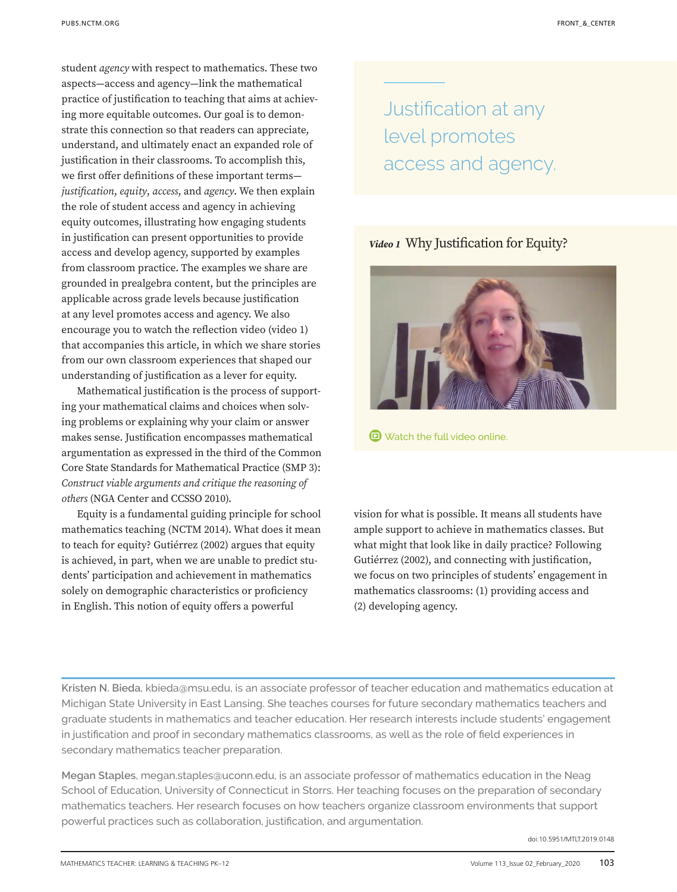student *agency* with respect to mathematics. These two aspects—access and agency—link the mathematical practice of justification to teaching that aims at achieving more equitable outcomes. Our goal is to demonstrate this connection so that readers can appreciate, understand, and ultimately enact an expanded role of justification in their classrooms. To accomplish this, we first offer definitions of these important terms*justifi cation*, *equity*, *access*, and *agency*. We then explain the role of student access and agency in achieving equity outcomes, illustrating how engaging students in justification can present opportunities to provide access and develop agency, supported by examples from classroom practice. The examples we share are grounded in prealgebra content, but the principles are applicable across grade levels because justification at any level promotes access and agency. We also encourage you to watch the reflection video [\(video 1](https://pubs.nctm.org/view/journals/mtlt/113/2/article-p102.xml?tab_body=Video)) that accompanies this article, in which we share stories from our own classroom experiences that shaped our understanding of justification as a lever for equity.

Mathematical justification is the process of supporting your mathematical claims and choices when solving problems or explaining why your claim or answer makes sense. Justification encompasses mathematical argumentation as expressed in the third of the Common Core State Standards for Mathematical Practice (SMP 3): *Construct viable arguments and critique the reasoning of others* (NGA Center and CCSSO 2010).

Equity is a fundamental guiding principle for school mathematics teaching (NCTM 2014). What does it mean to teach for equity? Gutiérrez (2002) argues that equity is achieved, in part, when we are unable to predict students' participation and achievement in mathematics solely on demographic characteristics or proficiency in English. This notion of equity offers a powerful

Justification at any level promotes access and agency.

*Video 1* Why Justification for Equity?



**D** [Watch the full video online.](https://pubs.nctm.org/view/journals/mtlt/113/2/article-p102.xml?tab_body=Video)

vision for what is possible. It means all students have ample support to achieve in mathematics classes. But what might that look like in daily practice? Following Gutiérrez (2002), and connecting with justification, we focus on two principles of students' engagement in mathematics classrooms: (1) providing access and (2) developing agency.

**Kristen N. Bieda**, kbieda@msu.edu, is an associate professor of teacher education and mathematics education at Michigan State University in East Lansing. She teaches courses for future secondary mathematics teachers and graduate students in mathematics and teacher education. Her research interests include students' engagement in justification and proof in secondary mathematics classrooms, as well as the role of field experiences in secondary mathematics teacher preparation.

**Megan Staples**, megan.staples@uconn.edu, is an associate professor of mathematics education in the Neag School of Education, University of Connecticut in Storrs. Her teaching focuses on the preparation of secondary mathematics teachers. Her research focuses on how teachers organize classroom environments that support powerful practices such as collaboration, justification, and argumentation.

doi:10.5951/MTLT.2019.0148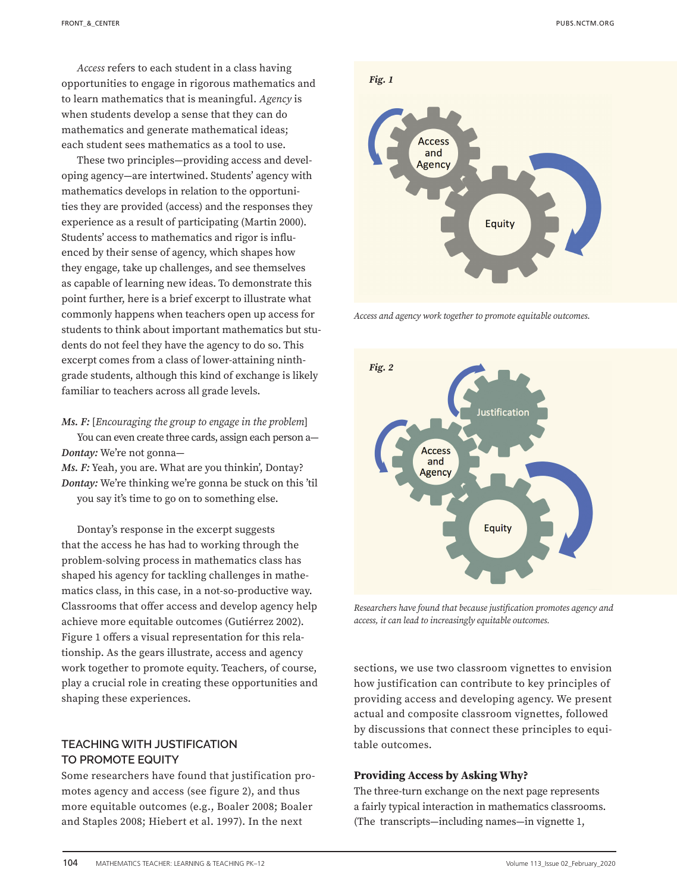*Access* refers to each student in a class having opportunities to engage in rigorous mathematics and to learn mathematics that is meaningful. *Agency* is when students develop a sense that they can do mathematics and generate mathematical ideas; each student sees mathematics as a tool to use.

These two principles—providing access and developing agency—are intertwined. Students' agency with mathematics develops in relation to the opportunities they are provided (access) and the responses they experience as a result of participating (Martin 2000). Students' access to mathematics and rigor is influenced by their sense of agency, which shapes how they engage, take up challenges, and see themselves as capable of learning new ideas. To demonstrate this point further, here is a brief excerpt to illustrate what commonly happens when teachers open up access for students to think about important mathematics but students do not feel they have the agency to do so. This excerpt comes from a class of lower-attaining ninthgrade students, although this kind of exchange is likely familiar to teachers across all grade levels.

*Ms. F:* [*Encouraging the group to engage in the problem*] You can even create three cards, assign each person a— *Dontay:* We're not gonna—

*Ms. F:* Yeah, you are. What are you thinkin', Dontay? *Dontay:* We're thinking we're gonna be stuck on this 'til you say it's time to go on to something else.

Dontay's response in the excerpt suggests that the access he has had to working through the problem-solving process in mathematics class has shaped his agency for tackling challenges in mathematics class, in this case, in a not-so-productive way. Classrooms that offer access and develop agency help achieve more equitable outcomes (Gutiérrez 2002). Figure 1 offers a visual representation for this relationship. As the gears illustrate, access and agency work together to promote equity. Teachers, of course, play a crucial role in creating these opportunities and shaping these experiences.

# **TEACHING WITH JUSTIFICATION TO PROMOTE EQUITY**

Some researchers have found that justification promotes agency and access (see figure 2), and thus more equitable outcomes (e.g., Boaler 2008; Boaler and Staples 2008; Hiebert et al. 1997). In the next



*Access and agency work together to promote equitable outcomes.*



*Researchers have found that because justifi cation promotes agency and access, it can lead to increasingly equitable outcomes.*

sections, we use two classroom vignettes to envision how justification can contribute to key principles of providing access and developing agency. We present actual and composite classroom vignettes, followed by discussions that connect these principles to equitable outcomes.

### **Providing Access by Asking Why?**

The three-turn exchange on the next page represents a fairly typical interaction in mathematics classrooms. (The transcripts—including names—in vignette 1,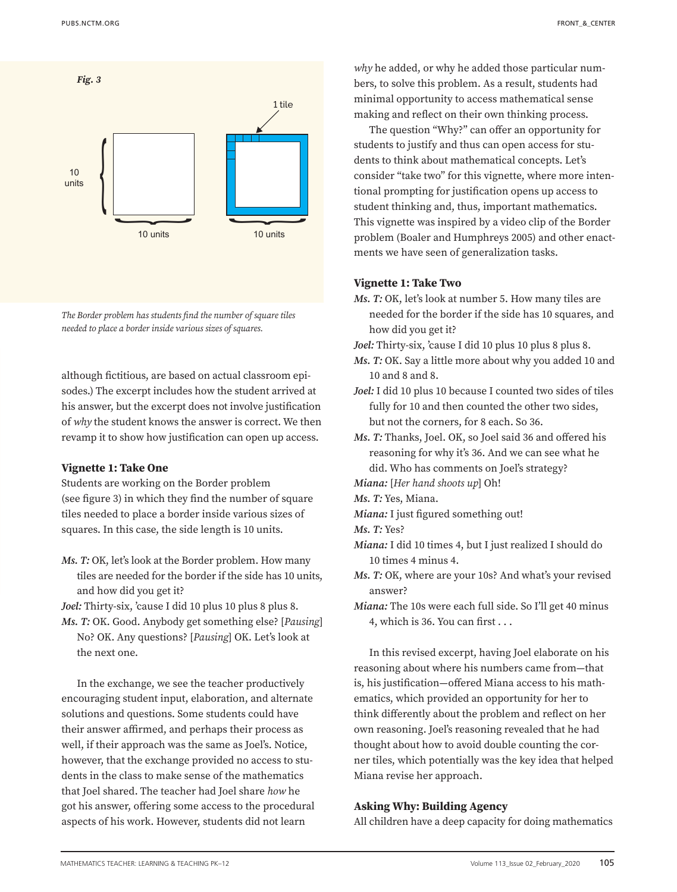

*The Border problem has students find the number of square tiles needed to place a border inside various sizes of squares.*

although fictitious, are based on actual classroom episodes.) The excerpt includes how the student arrived at his answer, but the excerpt does not involve justification of *why* the student knows the answer is correct. We then revamp it to show how justification can open up access.

### **Vignette 1: Take One**

Students are working on the Border problem (see figure 3) in which they find the number of square tiles needed to place a border inside various sizes of squares. In this case, the side length is 10 units.

*Ms. T:* OK, let's look at the Border problem. How many tiles are needed for the border if the side has 10 units, and how did you get it?

*Joel:* Thirty-six, 'cause I did 10 plus 10 plus 8 plus 8.

*Ms. T:* OK. Good. Anybody get something else? [*Pausing*] No? OK. Any questions? [*Pausing*] OK. Let's look at the next one.

In the exchange, we see the teacher productively encouraging student input, elaboration, and alternate solutions and questions. Some students could have their answer affirmed, and perhaps their process as well, if their approach was the same as Joel's. Notice, however, that the exchange provided no access to students in the class to make sense of the mathematics that Joel shared. The teacher had Joel share *how* he got his answer, offering some access to the procedural aspects of his work. However, students did not learn

*why* he added, or why he added those particular numbers, to solve this problem. As a result, students had minimal opportunity to access mathematical sense making and reflect on their own thinking process.

The question "Why?" can offer an opportunity for students to justify and thus can open access for students to think about mathematical concepts. Let's consider "take two" for this vignette, where more intentional prompting for justification opens up access to student thinking and, thus, important mathematics. This vignette was inspired by a video clip of the Border problem (Boaler and Humphreys 2005) and other enactments we have seen of generalization tasks.

### **Vignette 1: Take Two**

- *Ms. T: OK, let's look at number 5. How many tiles are* needed for the border if the side has 10 squares, and how did you get it?
- *Joel:* Thirty-six, 'cause I did 10 plus 10 plus 8 plus 8.
- *Ms. T:* OK. Say a little more about why you added 10 and 10 and 8 and 8.
- *Joel:* I did 10 plus 10 because I counted two sides of tiles fully for 10 and then counted the other two sides, but not the corners, for 8 each. So 36.
- *Ms. T:* Thanks, Joel. OK, so Joel said 36 and offered his reasoning for why it's 36. And we can see what he did. Who has comments on Joel's strategy?
- *Miana:* [*Her hand shoots up*] Oh!

*Ms. T:* Yes, Miana.

*Miana:* I just figured something out!

*Ms. T:* Yes?

- *Miana:* I did 10 times 4, but I just realized I should do 10 times 4 minus 4.
- *Ms. T:* OK, where are your 10s? And what's your revised answer?
- *Miana:* The 10s were each full side. So I'll get 40 minus 4, which is 36. You can first . . .

In this revised excerpt, having Joel elaborate on his reasoning about where his numbers came from—that is, his justification—offered Miana access to his mathematics, which provided an opportunity for her to think differently about the problem and reflect on her own reasoning. Joel's reasoning revealed that he had thought about how to avoid double counting the corner tiles, which potentially was the key idea that helped Miana revise her approach.

### **Asking Why: Building Agency**

All children have a deep capacity for doing mathematics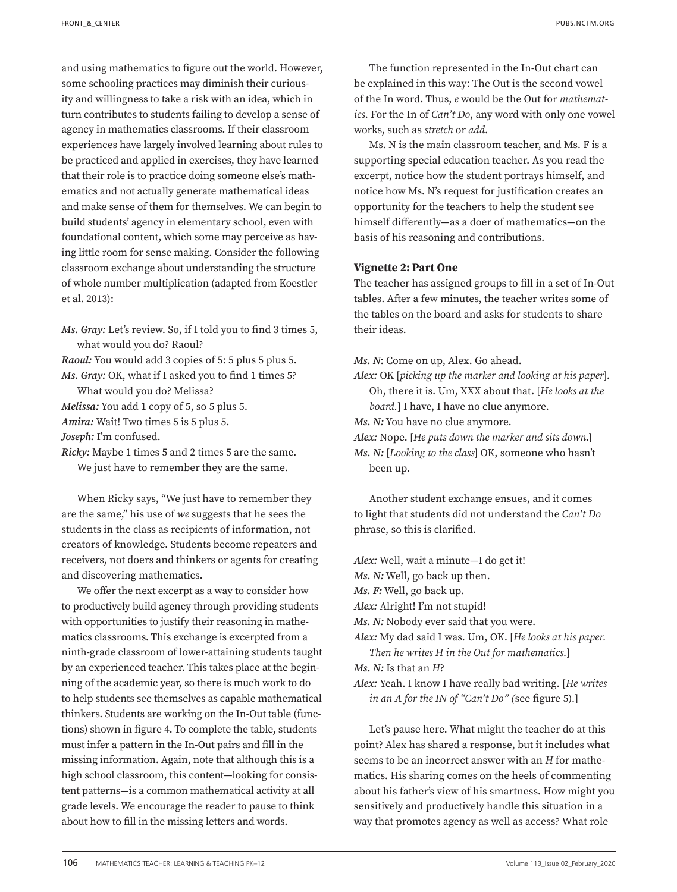and using mathematics to figure out the world. However, some schooling practices may diminish their curiousity and willingness to take a risk with an idea, which in turn contributes to students failing to develop a sense of agency in mathematics classrooms. If their classroom experiences have largely involved learning about rules to be practiced and applied in exercises, they have learned that their role is to practice doing someone else's mathematics and not actually generate mathematical ideas and make sense of them for themselves. We can begin to build students' agency in elementary school, even with foundational content, which some may perceive as having little room for sense making. Consider the following classroom exchange about understanding the structure of whole number multiplication (adapted from Koestler et al. 2013):

*Ms. Gray:* Let's review. So, if I told you to find 3 times 5, what would you do? Raoul?

*Raoul:* You would add 3 copies of 5: 5 plus 5 plus 5. *Ms. Gray:* OK, what if I asked you to find 1 times 5?

What would you do? Melissa?

*Melissa:* You add 1 copy of 5, so 5 plus 5.

*Amira:* Wait! Two times 5 is 5 plus 5.

*Joseph:* I'm confused.

*Ricky:* Maybe 1 times 5 and 2 times 5 are the same. We just have to remember they are the same.

When Ricky says, "We just have to remember they are the same," his use of *we* suggests that he sees the students in the class as recipients of information, not creators of knowledge. Students become repeaters and receivers, not doers and thinkers or agents for creating and discovering mathematics.

We offer the next excerpt as a way to consider how to productively build agency through providing students with opportunities to justify their reasoning in mathematics classrooms. This exchange is excerpted from a ninth-grade classroom of lower-attaining students taught by an experienced teacher. This takes place at the beginning of the academic year, so there is much work to do to help students see themselves as capable mathematical thinkers. Students are working on the In-Out table (functions) shown in [figure 4](#page-5-0). To complete the table, students must infer a pattern in the In-Out pairs and fill in the missing information. Again, note that although this is a high school classroom, this content—looking for consistent patterns—is a common mathematical activity at all grade levels. We encourage the reader to pause to think about how to fill in the missing letters and words.

The function represented in the In-Out chart can be explained in this way: The Out is the second vowel of the In word. Thus, *e* would be the Out for *mathematics*. For the In of *Can't Do*, any word with only one vowel works, such as *stretch* or *add*.

Ms. N is the main classroom teacher, and Ms. F is a supporting special education teacher. As you read the excerpt, notice how the student portrays himself, and notice how Ms. N's request for justification creates an opportunity for the teachers to help the student see himself differently—as a doer of mathematics—on the basis of his reasoning and contributions.

## **Vignette 2: Part One**

The teacher has assigned groups to fill in a set of In-Out tables. After a few minutes, the teacher writes some of the tables on the board and asks for students to share their ideas.

*Ms. N*: Come on up, Alex. Go ahead.

*Alex:* OK [*picking up the marker and looking at his paper*]. Oh, there it is. Um, XXX about that. [*He looks at the board.*] I have, I have no clue anymore.

*Ms. N:* You have no clue anymore.

*Alex:* Nope. [*He puts down the marker and sits down*.]

*Ms. N:* [*Looking to the class*] OK, someone who hasn't been up.

Another student exchange ensues, and it comes to light that students did not understand the *Can't Do* phrase, so this is clarified.

*Alex:* Well, wait a minute—I do get it!

*Ms. N:* Well, go back up then.

*Ms. F:* Well, go back up.

*Alex:* Alright! I'm not stupid!

*Ms. N:* Nobody ever said that you were.

*Alex:* My dad said I was. Um, OK. [*He looks at his paper. Then he writes H in the Out for mathematics.*]

*Ms. N:* Is that an *H*?

*Alex:* Yeah. I know I have really bad writing. [*He writes in an A for the IN of "Can't Do" (*see [figure 5\)](#page-5-0)*.*]

Let's pause here. What might the teacher do at this point? Alex has shared a response, but it includes what seems to be an incorrect answer with an *H* for mathematics. His sharing comes on the heels of commenting about his father's view of his smartness. How might you sensitively and productively handle this situation in a way that promotes agency as well as access? What role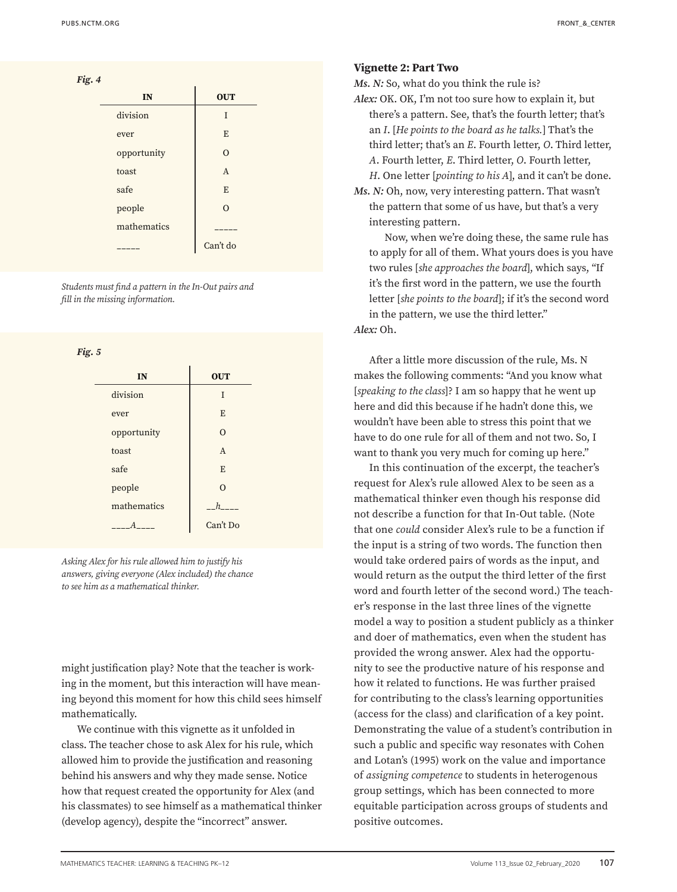<span id="page-5-0"></span>

| Fig. 4 |             |                |
|--------|-------------|----------------|
|        | IN          | <b>OUT</b>     |
|        | division    | T              |
|        | ever        | E              |
|        | opportunity | $\Omega$       |
|        | toast       | $\overline{A}$ |
|        | safe        | E              |
|        | people      | $\Omega$       |
|        | mathematics |                |
|        |             | Can't do       |

*Students must find a pattern in the In-Out pairs and fill in the missing information.*

|--|--|

| IN          | <b>OUT</b>     |
|-------------|----------------|
| division    | T              |
| ever        | E              |
| opportunity | $\Omega$       |
| toast       | $\overline{A}$ |
| safe        | E              |
| people      | $\Omega$       |
| mathematics | h              |
|             | Can't Do       |

*Asking Alex for his rule allowed him to justify his answers, giving everyone (Alex included) the chance to see him as a mathematical thinker.* 

might justification play? Note that the teacher is working in the moment, but this interaction will have meaning beyond this moment for how this child sees himself mathematically.

We continue with this vignette as it unfolded in class. The teacher chose to ask Alex for his rule, which allowed him to provide the justification and reasoning behind his answers and why they made sense. Notice how that request created the opportunity for Alex (and his classmates) to see himself as a mathematical thinker (develop agency), despite the "incorrect" answer.

*Ms. N:* So, what do you think the rule is?

- *Alex:* OK. OK, I'm not too sure how to explain it, but there's a pattern. See, that's the fourth letter; that's an *I*. [*He points to the board as he talks.*] That's the third letter; that's an *E*. Fourth letter, *O*. Third letter, *A*. Fourth letter, *E*. Third letter, *O*. Fourth letter, *H*. One letter [*pointing to his A*], and it can't be done.
- *Ms. N:* Oh, now, very interesting pattern. That wasn't the pattern that some of us have, but that's a very interesting pattern.

Now, when we're doing these, the same rule has to apply for all of them. What yours does is you have two rules [*she approaches the board*], which says, "If it's the first word in the pattern, we use the fourth letter [*she points to the board*]; if it's the second word in the pattern, we use the third letter." *Alex:* Oh.

After a little more discussion of the rule, Ms. N makes the following comments: "And you know what [*speaking to the class*]? I am so happy that he went up here and did this because if he hadn't done this, we wouldn't have been able to stress this point that we have to do one rule for all of them and not two. So, I want to thank you very much for coming up here."

In this continuation of the excerpt, the teacher's request for Alex's rule allowed Alex to be seen as a mathematical thinker even though his response did not describe a function for that In-Out table. (Note that one *could* consider Alex's rule to be a function if the input is a string of two words. The function then would take ordered pairs of words as the input, and would return as the output the third letter of the first word and fourth letter of the second word.) The teacher's response in the last three lines of the vignette model a way to position a student publicly as a thinker and doer of mathematics, even when the student has provided the wrong answer. Alex had the opportunity to see the productive nature of his response and how it related to functions. He was further praised for contributing to the class's learning opportunities (access for the class) and clarification of a key point. Demonstrating the value of a student's contribution in such a public and specific way resonates with Cohen and Lotan's (1995) work on the value and importance of *assigning competence* to students in heterogenous group settings, which has been connected to more equitable participation across groups of students and positive outcomes.